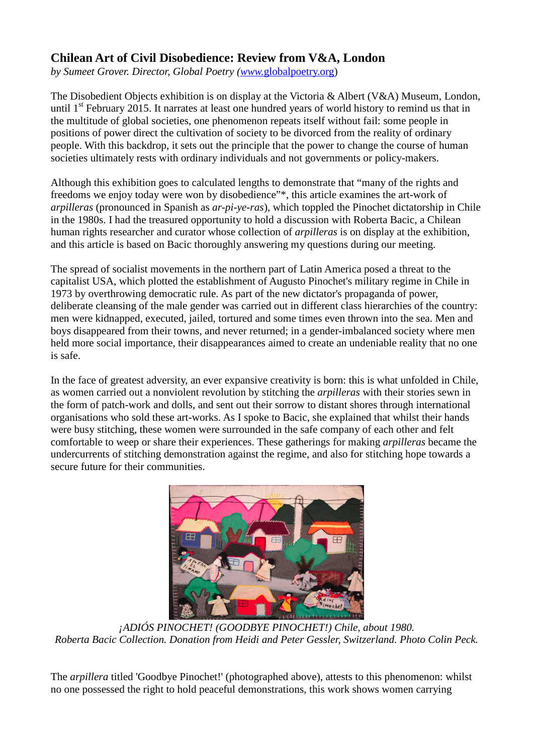## **Chilean Art of Civil Disobedience: Review from V&A, London**

*by Sumeet Grover. Director, Global Poetry (www.*globalpoetry.org)

The Disobedient Objects exhibition is on display at the Victoria & Albert (V&A) Museum, London, until 1<sup>st</sup> February 2015. It narrates at least one hundred years of world history to remind us that in the multitude of global societies, one phenomenon repeats itself without fail: some people in positions of power direct the cultivation of society to be divorced from the reality of ordinary people. With this backdrop, it sets out the principle that the power to change the course of human societies ultimately rests with ordinary individuals and not governments or policy-makers.

Although this exhibition goes to calculated lengths to demonstrate that "many of the rights and freedoms we enjoy today were won by disobedience"\*, this article examines the art-work of *arpilleras* (pronounced in Spanish as *ar-pi-ye-ras*), which toppled the Pinochet dictatorship in Chile in the 1980s. I had the treasured opportunity to hold a discussion with Roberta Bacic, a Chilean human rights researcher and curator whose collection of *arpilleras* is on display at the exhibition, and this article is based on Bacic thoroughly answering my questions during our meeting.

The spread of socialist movements in the northern part of Latin America posed a threat to the capitalist USA, which plotted the establishment of Augusto Pinochet's military regime in Chile in 1973 by overthrowing democratic rule. As part of the new dictator's propaganda of power, deliberate cleansing of the male gender was carried out in different class hierarchies of the country: men were kidnapped, executed, jailed, tortured and some times even thrown into the sea. Men and boys disappeared from their towns, and never returned; in a gender-imbalanced society where men held more social importance, their disappearances aimed to create an undeniable reality that no one is safe.

In the face of greatest adversity, an ever expansive creativity is born: this is what unfolded in Chile, as women carried out a nonviolent revolution by stitching the *arpilleras* with their stories sewn in the form of patch-work and dolls, and sent out their sorrow to distant shores through international organisations who sold these art-works. As I spoke to Bacic, she explained that whilst their hands were busy stitching, these women were surrounded in the safe company of each other and felt comfortable to weep or share their experiences. These gatherings for making *arpilleras* became the undercurrents of stitching demonstration against the regime, and also for stitching hope towards a secure future for their communities.



*¡ADIÓS PINOCHET! (GOODBYE PINOCHET!) Chile, about 1980. Roberta Bacic Collection. Donation from Heidi and Peter Gessler, Switzerland. Photo Colin Peck.*

The *arpillera* titled 'Goodbye Pinochet!' (photographed above), attests to this phenomenon: whilst no one possessed the right to hold peaceful demonstrations, this work shows women carrying